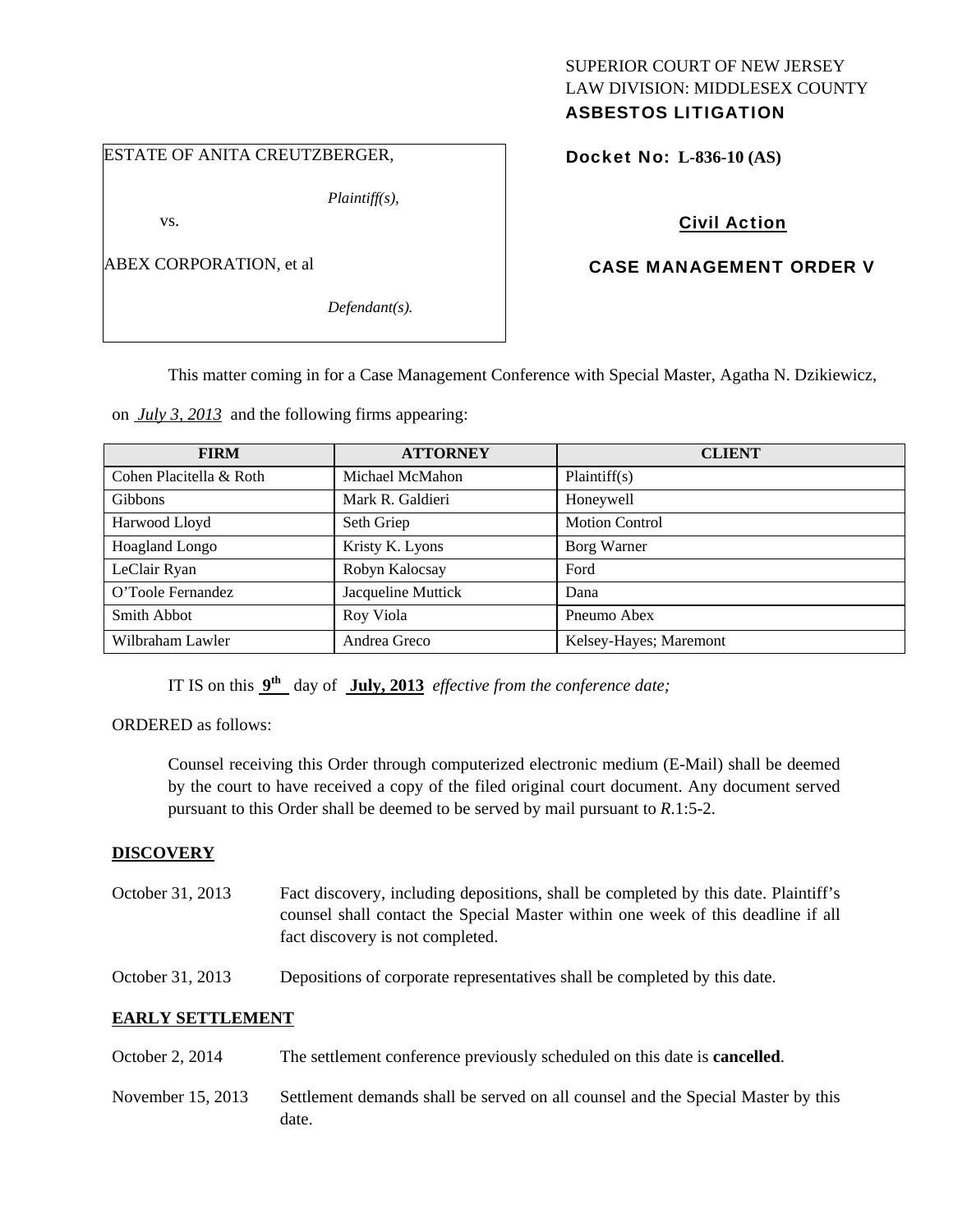# SUPERIOR COURT OF NEW JERSEY LAW DIVISION: MIDDLESEX COUNTY

# ASBESTOS LITIGATION

#### ESTATE OF ANITA CREUTZBERGER,

*Plaintiff(s),* 

vs.

ABEX CORPORATION, et al

*Defendant(s).* 

Docket No: **L-836-10 (AS)** 

### Civil Action

#### CASE MANAGEMENT ORDER V

This matter coming in for a Case Management Conference with Special Master, Agatha N. Dzikiewicz,

on *July 3, 2013* and the following firms appearing:

| <b>FIRM</b>             | <b>ATTORNEY</b>    | <b>CLIENT</b>          |
|-------------------------|--------------------|------------------------|
| Cohen Placitella & Roth | Michael McMahon    | Plaintiff(s)           |
| <b>Gibbons</b>          | Mark R. Galdieri   | Honeywell              |
| Harwood Lloyd           | Seth Griep         | <b>Motion Control</b>  |
| Hoagland Longo          | Kristy K. Lyons    | Borg Warner            |
| LeClair Ryan            | Robyn Kalocsay     | Ford                   |
| O'Toole Fernandez       | Jacqueline Muttick | Dana                   |
| Smith Abbot             | Roy Viola          | Pneumo Abex            |
| Wilbraham Lawler        | Andrea Greco       | Kelsey-Hayes; Maremont |

IT IS on this **9th** day of **July, 2013** *effective from the conference date;*

ORDERED as follows:

Counsel receiving this Order through computerized electronic medium (E-Mail) shall be deemed by the court to have received a copy of the filed original court document. Any document served pursuant to this Order shall be deemed to be served by mail pursuant to *R*.1:5-2.

#### **DISCOVERY**

- October 31, 2013 Fact discovery, including depositions, shall be completed by this date. Plaintiff's counsel shall contact the Special Master within one week of this deadline if all fact discovery is not completed.
- October 31, 2013 Depositions of corporate representatives shall be completed by this date.

#### **EARLY SETTLEMENT**

- October 2, 2014 The settlement conference previously scheduled on this date is **cancelled**.
- November 15, 2013 Settlement demands shall be served on all counsel and the Special Master by this date.